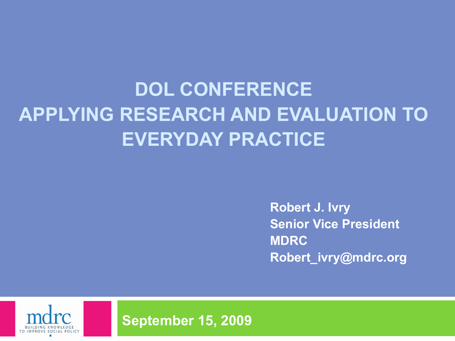## **DOL CONFERENCE APPLYING RESEARCH AND EVALUATION TO EVERYDAY PRACTICE**

**Robert J. Ivry Senior Vice President MDRC [Robert\\_ivry@mdrc.org](mailto:robert_ivry@mdrc.org)**



**September 15, 2009**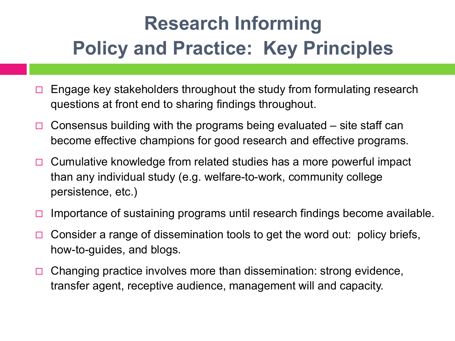# **Research Informing Policy and Practice: Key Principles**

- $\Box$  Engage key stakeholders throughout the study from formulating research questions at front end to sharing findings throughout.
- $\Box$  Consensus building with the programs being evaluated site staff can become effective champions for good research and effective programs.
- $\Box$  Cumulative knowledge from related studies has a more powerful impact than any individual study (e.g. welfare-to-work, community college persistence, etc.)
- $\Box$  Importance of sustaining programs until research findings become available.
- $\Box$  Consider a range of dissemination tools to get the word out: policy briefs, how-to-guides, and blogs.
- $\Box$  Changing practice involves more than dissemination: strong evidence, transfer agent, receptive audience, management will and capacity.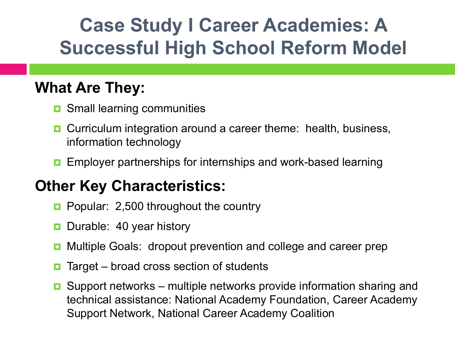## **Case Study I Career Academies: A Successful High School Reform Model**

### **What Are They:**

- **D** Small learning communities
- **D** Curriculum integration around a career theme: health, business, information technology
- Employer partnerships for internships and work-based learning

### **Other Key Characteristics:**

- **Popular: 2,500 throughout the country**
- Durable: 40 year history
- Multiple Goals: dropout prevention and college and career prep
- Target broad cross section of students
- $\Box$  Support networks multiple networks provide information sharing and technical assistance: National Academy Foundation, Career Academy Support Network, National Career Academy Coalition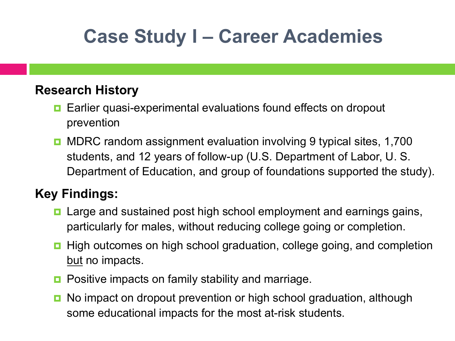## **Case Study I – Career Academies**

#### **Research History**

- Earlier quasi-experimental evaluations found effects on dropout prevention
- MDRC random assignment evaluation involving 9 typical sites, 1,700 students, and 12 years of follow-up (U.S. Department of Labor, U. S. Department of Education, and group of foundations supported the study).

#### **Key Findings:**

- Large and sustained post high school employment and earnings gains, particularly for males, without reducing college going or completion.
- **High outcomes on high school graduation, college going, and completion** but no impacts.
- **Positive impacts on family stability and marriage.**
- No impact on dropout prevention or high school graduation, although some educational impacts for the most at-risk students.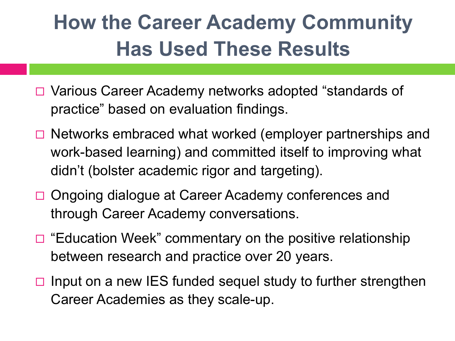# **How the Career Academy Community Has Used These Results**

- □ Various Career Academy networks adopted "standards of practice" based on evaluation findings.
- $\Box$  Networks embraced what worked (employer partnerships and work-based learning) and committed itself to improving what didn't (bolster academic rigor and targeting).
- □ Ongoing dialogue at Career Academy conferences and through Career Academy conversations.
- $\Box$  "Education Week" commentary on the positive relationship between research and practice over 20 years.
- $\Box$  Input on a new IES funded sequel study to further strengthen Career Academies as they scale-up.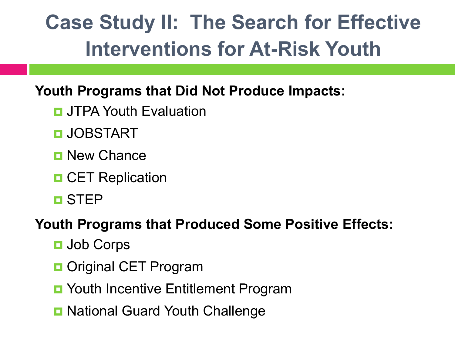# **Case Study II: The Search for Effective Interventions for At-Risk Youth**

### **Youth Programs that Did Not Produce Impacts:**

- **<u>n</u>** JTPA Youth Evaluation
- **D** JOBSTART
- **D** New Chance
- **D** CET Replication
- STEP

### **Youth Programs that Produced Some Positive Effects:**

- **<u>n</u>** Job Corps
- **D** Original CET Program
- Youth Incentive Entitlement Program
- **D** National Guard Youth Challenge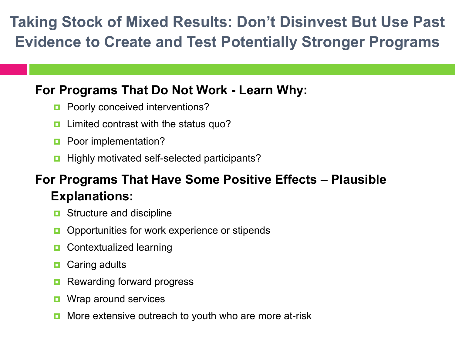### **Taking Stock of Mixed Results: Don't Disinvest But Use Past Evidence to Create and Test Potentially Stronger Programs**

#### **For Programs That Do Not Work - Learn Why:**

- **Poorly conceived interventions?**
- **Limited contrast with the status quo?**
- **Poor implementation?**
- Highly motivated self-selected participants?

#### **For Programs That Have Some Positive Effects – Plausible Explanations:**

- **D** Structure and discipline
- **Opportunities for work experience or stipends**
- **D** Contextualized learning
- Caring adults
- Rewarding forward progress
- **D** Wrap around services
- More extensive outreach to youth who are more at-risk